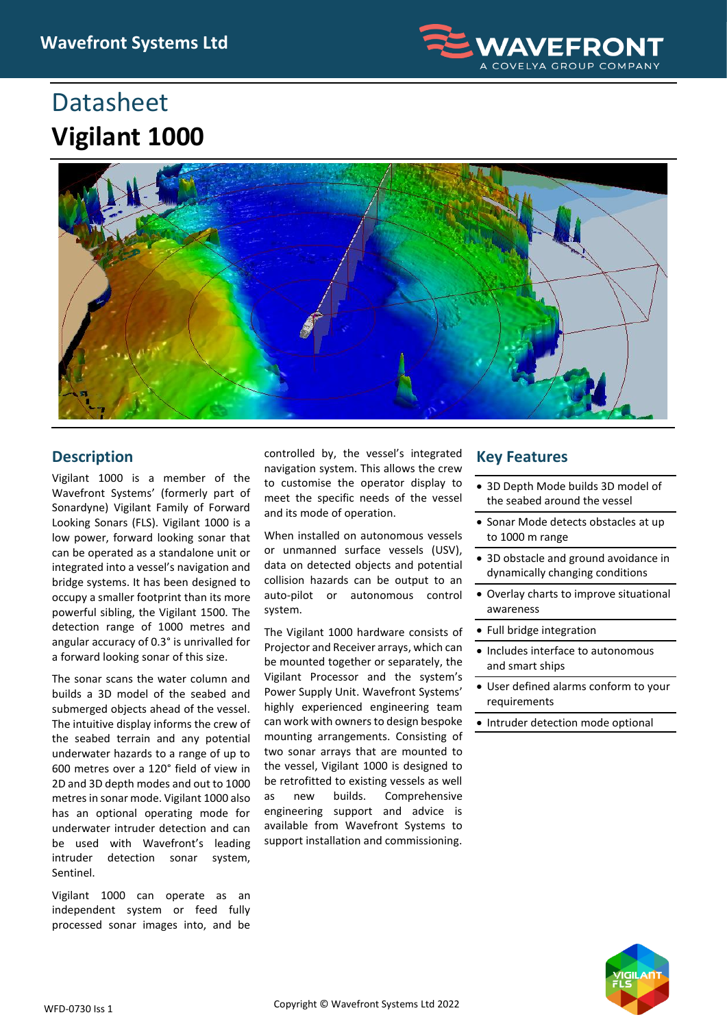

## **Datasheet Vigilant 1000**



## **Description**

Vigilant 1000 is a member of the Wavefront Systems' (formerly part of Sonardyne) Vigilant Family of Forward Looking Sonars (FLS). Vigilant 1000 is a low power, forward looking sonar that can be operated as a standalone unit or integrated into a vessel's navigation and bridge systems. It has been designed to occupy a smaller footprint than its more powerful sibling, the Vigilant 1500. The detection range of 1000 metres and angular accuracy of 0.3° is unrivalled for a forward looking sonar of this size.

The sonar scans the water column and builds a 3D model of the seabed and submerged objects ahead of the vessel. The intuitive display informs the crew of the seabed terrain and any potential underwater hazards to a range of up to 600 metres over a 120° field of view in 2D and 3D depth modes and out to 1000 metres in sonar mode. Vigilant 1000 also has an optional operating mode for underwater intruder detection and can be used with Wavefront's leading intruder detection sonar system, Sentinel.

Vigilant 1000 can operate as an independent system or feed fully processed sonar images into, and be

controlled by, the vessel's integrated navigation system. This allows the crew to customise the operator display to meet the specific needs of the vessel and its mode of operation.

When installed on autonomous vessels or unmanned surface vessels (USV), data on detected objects and potential collision hazards can be output to an auto-pilot or autonomous control system.

The Vigilant 1000 hardware consists of Projector and Receiver arrays, which can be mounted together or separately, the Vigilant Processor and the system's Power Supply Unit. Wavefront Systems' highly experienced engineering team can work with owners to design bespoke mounting arrangements. Consisting of two sonar arrays that are mounted to the vessel, Vigilant 1000 is designed to be retrofitted to existing vessels as well as new builds. Comprehensive engineering support and advice is available from Wavefront Systems to support installation and commissioning.

## **Key Features**

- 3D Depth Mode builds 3D model of the seabed around the vessel
- Sonar Mode detects obstacles at up to 1000 m range
- 3D obstacle and ground avoidance in dynamically changing conditions
- Overlay charts to improve situational awareness
- Full bridge integration
- Includes interface to autonomous and smart ships
- User defined alarms conform to your requirements
- Intruder detection mode optional